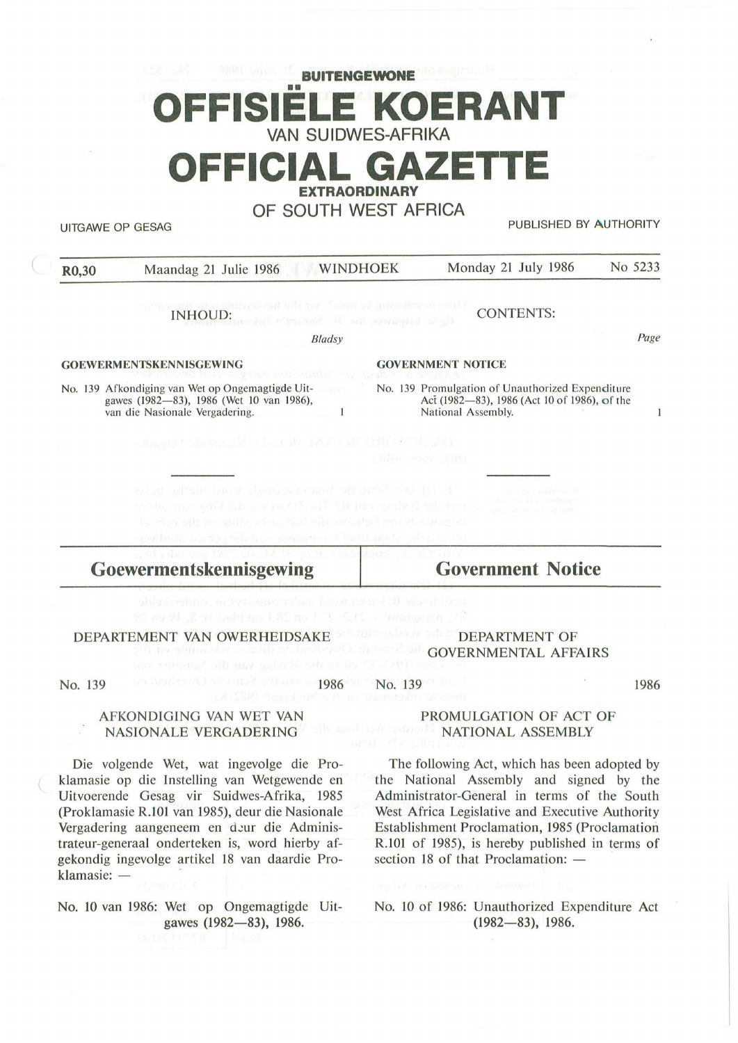## **BUITENGEWONE KOERANT VAN SUIDWES-AFRIKA OFFICIAL GAZET EXTRAORDINARY**

**OF SOUTH WEST AFRICA** 

UITGAWE OP GESAG **PUBLISHED BY AUTHORITY** 

| R <sub>0</sub> ,30                                                                                                                           | <b>WINDHOEK</b><br>Maandag 21 Julie 1986                                                                                                                                                                                                               | No 5233<br>Monday 21 July 1986                                                                                                              |  |  |
|----------------------------------------------------------------------------------------------------------------------------------------------|--------------------------------------------------------------------------------------------------------------------------------------------------------------------------------------------------------------------------------------------------------|---------------------------------------------------------------------------------------------------------------------------------------------|--|--|
|                                                                                                                                              | pencente are entidented alla del doma di antarche saldo.<br>INHOUD: pedest circulati di sin soviente di git                                                                                                                                            | <b>CONTENTS:</b>                                                                                                                            |  |  |
|                                                                                                                                              | <b>Bladsy</b>                                                                                                                                                                                                                                          | Page                                                                                                                                        |  |  |
| <b>GOEWERMENTSKENNISGEWING</b>                                                                                                               |                                                                                                                                                                                                                                                        | <b>GOVERNMENT NOTICE</b>                                                                                                                    |  |  |
| No. 139 Afkondiging van Wet op Ongemagtigde Uit-<br><b>CLO</b><br>gawes (1982-83), 1986 (Wet 10 van 1986),<br>van die Nasionale Vergadering. |                                                                                                                                                                                                                                                        | <b>CONTRACTOR</b><br>No. 139 Promulgation of Unauthorized Expenditure<br>Act (1982—83), 1986 (Act 10 of 1986), of the<br>National Assembly. |  |  |
|                                                                                                                                              | DANNE MORD BI PAAL derei in Slaeens verowd.                                                                                                                                                                                                            | miles and anni-                                                                                                                             |  |  |
|                                                                                                                                              | L 13) Dir Senit basının tonda sonda türke balan<br>production and the same in the set of the most side of the cost.<br>Restori sils per gillfurs i ser had sale swisstad nu od towe ginn<br>southing harder oils transitionally in the rate where. Fur | came as a millionized<br>to can the shorter<br>and a more than the product                                                                  |  |  |
|                                                                                                                                              | <b>STATE STATISTICS</b><br>Goewermentskennisgewing                                                                                                                                                                                                     | <b>Government Notice</b>                                                                                                                    |  |  |

DEPARTEMENT VAN OWERHEIDSAKE

DEPARTMENT OF GOVERNMENTAL AFFAIRS

No. 139

1986 No. 139

1986

#### AFKONDIGING VAN WET VAN NASIONALE VERGADERING

Die volgende Wet, wat ingevolge die Proklamasie op die Instelling van Wetgewende en Uitvoerende Gesag vir Suidwes-Afrika, 1985 (Proklamasie R.101 van 1985), deur die Nasionale Vergadering aangeneem en deur die Administrateur-generaal onderteken is, word hierby afgekondig ingevolge artikel 18 van daardie Proklamasie: -

No. 10 van 1986: Wet op Ongemagtigde Uitgawes (1982-83), 1986.

#### PROMULGATION OF ACT OF NATIONAL ASSEMBLY

The following Act, which has been adopted by the National Assembly and signed by the Administrator-General in terms of the South West Africa Legislative and Executive Authority Establishment Proclamation, 1985 (Proclamation R.101 of 1985), is hereby published in terms of section 18 of that Proclamation:  $-$ 

No. 10 of 1986: Unauthorized Expenditure Act (1982-83), 1986.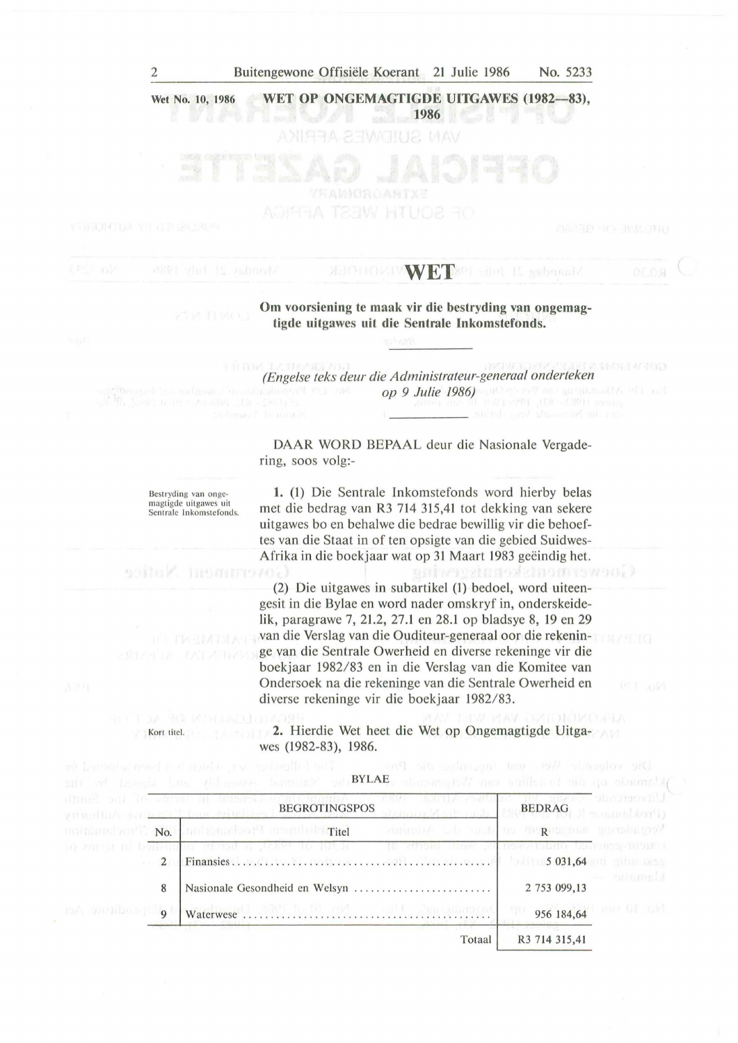#### 2 Buitengewone Offisiele Koerant 21 Julie 1986 No. 5233

**Wet No. 10, 1986**  WET OP ONGEMAGTIGDE UITGAWES (1982-83),

**1986** 

# **MECHOLIVAN ET B201 Sind 15 Asbassid**

#### **Om voorsiening te maak vir die beslryding van ongemagtigde uitgawes uit die Sentrale lnkomstefonds.**

*(Engelse te!cs deur die Administrateur-generaal onderteken op* 9 *Julie* 1986)

DAAR WORD BEPAAL deur die Nasionale Vergadering, SOOS volg:-

Bestryding van ongemagtigde uitgawes uit<br>Sentrale Inkomstefonds.

Kort titel.

 $99070K$ 

**1.** (1) Die Sentrale Inkomstefonds word hierby belas met die bedrag van R3 714 315,41 tot dekking van sekere uitgawes bo en behalwe die bedrae bewillig vir die behoeftes van die Staat in of ten opsigte van die gebied Suidwes-Afrika in die boekjaar wat op 31 Maart 1983 geëindig het. **CONTRACTIONS ISSUED** 

(2) Die uitgawes in subartikel (1) bedoel, word uiteengesit in die Bylae en word nader omskryf in, onderskeidelik, paragrawe 7, 21.2, 27.l en 28.1 op bladsye 8, 19 en 29 van die Verslag van die Ouditeur-generaal oor die rekeninge van die Sentrale Owerheid en diverse rekeninge vir die boekjaar 1982/83 en in die Verslag van die Komitee van Ondersoek na die rekeninge van die Sentrale Owerheid en diverse rekeninge vir die boekjaar 1982/83.

**2.** Hierdie Wet heet die Wet op Ongemagtigde Uitgawes (1982-83), 1986.

|                  |                                                                                                                                   | and ad though the variable van Company of BYLAC and the property and the contract of                     |               |                                                                                                     |
|------------------|-----------------------------------------------------------------------------------------------------------------------------------|----------------------------------------------------------------------------------------------------------|---------------|-----------------------------------------------------------------------------------------------------|
|                  | ding? oul in value at heaven with<br>and and a series<br>glined but an meant has exircleined BEGROTINGSPOS<br>hammed of site mula |                                                                                                          |               | UIDvoerchde Kakar un<br>$\pmb{BEDRAG} \qquad \qquad \textbf{(BEDRAG)} \qquad \qquad \textbf{(AOT)}$ |
|                  |                                                                                                                                   | Vergaderne sangengen en date de Adamis,<br>mointains bent". No. Inclumation <sup>n</sup> apartlaichTitel |               |                                                                                                     |
|                  | 2                                                                                                                                 | IC COUL TIME TOWARD TO BE THE THE T<br>To annot ni bonzudun versar a Jezer 10 1915)                      |               |                                                                                                     |
|                  | 8                                                                                                                                 | Nasionale Gesondheid en Welsyn                                                                           | 2 753 099,13  | - penned                                                                                            |
| na onulibosq: lo |                                                                                                                                   |                                                                                                          |               | 956 184,64                                                                                          |
|                  |                                                                                                                                   | Totaal                                                                                                   | R3 714 315,41 |                                                                                                     |